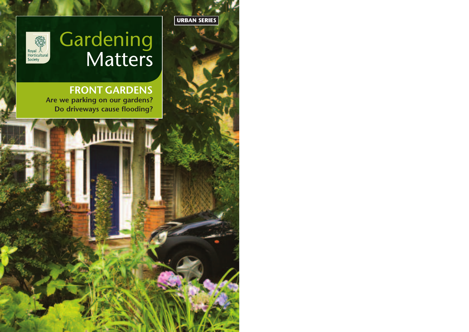



## **Gardening** Matters

**FRONT GARDENS Are we parking on our gardens? Do driveways cause flooding?**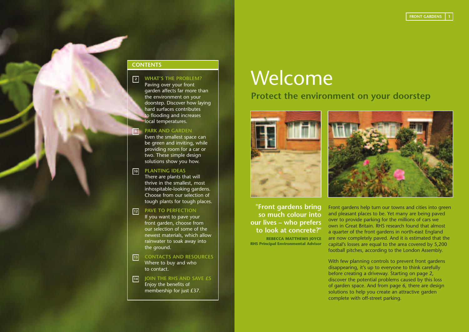#### **CONTENTS**

#### **WHAT'S THE PROBLEM? 2**

Paving over your front garden affects far more than the environment on your doorstep. Discover how laying hard surfaces contributes to flooding and increases local temperatures.

#### **PARK AND GARDEN 6**

Even the smallest space can be green and inviting, while providing room for a car or two. These simple design solutions show you how.

#### **PLANTING IDEAS 10**

There are plants that will thrive in the smallest, most inhospitable-looking gardens. Choose from our selection of tough plants for tough places.

#### **PAVE TO PERFECTION 12**

If you want to pave your front garden, choose from our selection of some of the newest materials, which allow rainwater to soak away into the ground.

**CONTACTS AND RESOURCES** Where to buy and who to contact. **13**

#### **JOIN THE RHS AND SAVE £5** Enjoy the benefits of membership for just £37. **14**

## **Welcome**

## **Protect the environment on your doorstep**



**"Front gardens bring so much colour into our lives – who prefers to look at concrete?" REBECCA MATTHEWS JOYCE RHS Principal Environmental Advisor**



Front gardens help turn our towns and cities into green and pleasant places to be. Yet many are being paved over to provide parking for the millions of cars we own in Great Britain. RHS research found that almost a quarter of the front gardens in north-east England are now completely paved. And it is estimated that the capital's losses are equal to the area covered by 5,200 football pitches, according to the London Assembly.

With few planning controls to prevent front gardens disappearing, it's up to everyone to think carefully before creating a driveway. Starting on page 2, discover the potential problems caused by this loss of garden space. And from page 6, there are design solutions to help you create an attractive garden complete with off-street parking.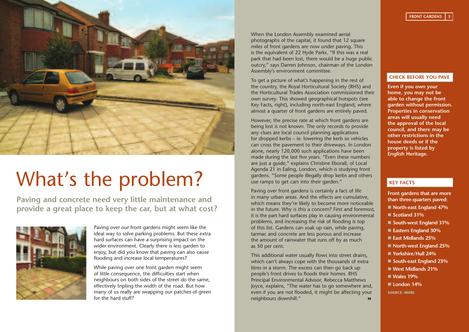

# What's the problem?

**Paving and concrete need very little maintenance and provide a great place to keep the car, but at what cost?**



Paving over our front gardens might seem like the ideal way to solve parking problems. But these extra hard surfaces can have a surprising impact on the wider environment. Clearly there is less garden to enjoy, but did you know that paving can also cause flooding and increase local temperatures?

While paving over one front garden might seem of little consequence, the difficulties start when neighbours on both sides of the street do the same, effectively tripling the width of the road. But how many of us really are swapping our patches of green for the hard stuff?

When the London Assembly examined aerial photographs of the capital, it found that 12 square miles of front gardens are now under paving. This is the equivalent of 22 Hyde Parks. "If this was a real park that had been lost, there would be a huge public outcry," says Darren Johnson, chairman of the London Assembly's environment committee.

To get a picture of what's happening in the rest of the country, the Royal Horticultural Society (RHS) and the Horticultural Trades Association commissioned their own survey. This showed geographical hotspots (see Key Facts, right), including north-east England, where almost a quarter of front gardens are entirely paved.

However, the precise rate at which front gardens are being lost is not known. The only records to provide any clues are local council planning applications for dropped kerbs – ie. lowering the kerb so vehicles can cross the pavement to their driveways. In London alone, nearly 120,000 such applications have been made during the last five years. "Even these numbers are just a guide," explains Christine Eborall, of Local Agenda 21 in Ealing, London, which is studying front gardens. "Some people illegally drop kerbs and others use ramps to get cars into their garden."

Paving over front gardens is certainly a fact of life in many urban areas. And the effects are cumulative, which means they're likely to become more noticeable in the future. Why is this a concern? First and foremost, it is the part hard surfaces play in causing environmental problems, and increasing the risk of flooding is top of this list. Gardens can soak up rain, while paving, tarmac and concrete are less porous and increase the amount of rainwater that runs off by as much as 50 per cent.

This additional water usually flows into street drains, which can't always cope with the thousands of extra litres in a storm. The excess can then go back up people's front drives to floods their homes. RHS Principal Environmental Advisor, Rebecca Matthews Joyce, explains, "The water has to go somewhere and, even if you are not flooded, it might be affecting your neighbours downhill." 8

#### **CHECK BEFORE YOU PAVE**

**Even if you own your home, you may not be able to change the front garden without permission. Properties in conservation areas will usually need the approval of the local council, and there may be other restrictions in the house deeds or if the property is listed by English Heritage.**

#### **KEY FACTS**

- **Front gardens that are more than three-quarters paved:**
- North-east England 47%
- Scotland 31%
- South-west England 31%
- Eastern England 30%
- East Midlands 25%
- **North-west England 25%**
- Yorkshire/Hull 24%
- South-east England 23%
- West Midlands 21%
- n **Wales 19%**
- London 14%

**SOURCE: MORI**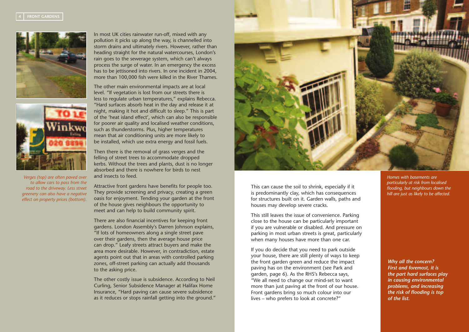



*Verges (top) are often paved over to allow cars to pass from the road to the driveway. Less street greenery can also have a negative effect on property prices (bottom).*

In most UK cities rainwater run-off, mixed with any pollution it picks up along the way, is channelled into storm drains and ultimately rivers. However, rather than heading straight for the natural watercourses, London's rain goes to the sewerage system, which can't always process the surge of water. In an emergency the excess has to be jettisoned into rivers. In one incident in 2004, more than 100,000 fish were killed in the River Thames.

The other main environmental impacts are at local level. "If vegetation is lost from our streets there is less to regulate urban temperatures," explains Rebecca. "Hard surfaces absorb heat in the day and release it at night, making it hot and difficult to sleep." This is part of the 'heat island effect', which can also be responsible for poorer air quality and localised weather conditions, such as thunderstorms. Plus, higher temperatures mean that air conditioning units are more likely to be installed, which use extra energy and fossil fuels.

Then there is the removal of grass verges and the felling of street trees to accommodate dropped kerbs. Without the trees and plants, dust is no longer absorbed and there is nowhere for birds to nest and insects to feed.

Attractive front gardens have benefits for people too. They provide screening and privacy, creating a green oasis for enjoyment. Tending your garden at the front of the house gives neighbours the opportunity to meet and can help to build community spirit.

There are also financial incentives for keeping front gardens. London Assembly's Darren Johnson explains, "If lots of homeowners along a single street pave over their gardens, then the average house price can drop." Leafy streets attract buyers and make the area more desirable. However, in contradiction, estate agents point out that in areas with controlled parking zones, off-street parking can actually add thousands to the asking price.

The other costly issue is subsidence. According to Neil Curling, Senior Subsidence Manager at Halifax Home Insurance, "Hard paving can cause severe subsidence as it reduces or stops rainfall getting into the ground."



This can cause the soil to shrink, especially if it is predominantly clay, which has consequences for structures built on it. Garden walls, paths and houses may develop severe cracks.

This still leaves the issue of convenience. Parking close to the house can be particularly important if you are vulnerable or disabled. And pressure on parking in most urban streets is great, particularly when many houses have more than one car.

If you do decide that you need to park outside your house, there are still plenty of ways to keep the front garden green and reduce the impact paving has on the environment (see Park and garden, page 6). As the RHS's Rebecca says, "We all need to change our mind-set to want more than just paving at the front of our house. Front gardens bring so much colour into our lives – who prefers to look at concrete?"

*Homes with basements are particularly at risk from localised flooding, but neighbours down the hill are just as likely to be affected.*

#### *Why all the concern? First and foremost, it is the part hard surfaces play in causing environmental problems, and increasing the risk of flooding is top of the list.*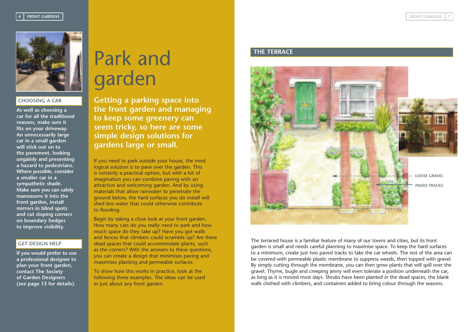

#### **CHOOSING A CAR**

**As well as choosing a car for all the traditional reasons, make sure it fits on your driveway. An unnecessarily large car in a small garden will stick out on to the pavement, looking ungainly and presenting a hazard to pedestrians. Where possible, consider a smaller car in a sympathetic shade. Make sure you can safely manoeuvre it into the front garden, install mirrors in blind spots and cut sloping corners on boundary hedges to improve visibility.**

#### **GET DESIGN HELP**

**If you would prefer to use a professional designer to plan your front garden, contact The Society of Garden Designers (see page 13 for details).**

# Park and garden

**Getting a parking space into the front garden and managing to keep some greenery can seem tricky, so here are some simple design solutions for gardens large or small.** 

If you need to park outside your house, the most logical solution is to pave over the garden. This is certainly a practical option, but with a bit of imagination you can combine paving with an attractive and welcoming garden. And by using materials that allow rainwater to penetrate the ground below, the hard surfaces you do install will shed less water that could otherwise contribute to flooding.

Begin by taking a close look at your front garden. How many cars do you really need to park and how much space do they take up? Have you got walls and fences that climbers could scramble up? Are there dead spaces that could accommodate plants, such as the corners? With the answers to these questions, you can create a design that minimises paving and maximises planting and permeable surfaces.

To show how this works in practice, look at the following three examples. The ideas can be used in just about any front garden.

### **THE TERRACE**



The terraced house is a familiar feature of many of our towns and cities, but its front garden is small and needs careful planning to maximise space. To keep the hard surfaces to a minimum, create just two paved tracks to take the car wheels. The rest of the area can be covered with permeable plastic membrane to suppress weeds, then topped with gravel. By simply cutting through the membrane, you can then grow plants that will spill over the gravel. Thyme, bugle and creeping jenny will even tolerate a position underneath the car, as long as it is moved most days. Shrubs have been planted in the dead spaces, the blank walls clothed with climbers, and containers added to bring colour through the seasons.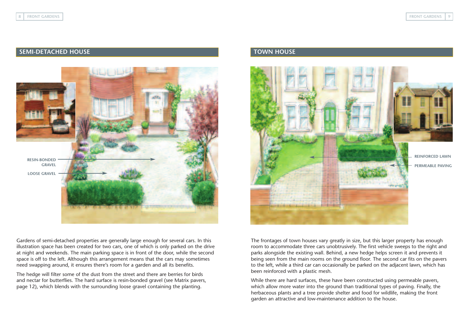### **SEMI-DETACHED HOUSE TOWN HOUSE**



Gardens of semi-detached properties are generally large enough for several cars. In this illustration space has been created for two cars, one of which is only parked on the drive at night and weekends. The main parking space is in front of the door, while the second space is off to the left. Although this arrangement means that the cars may sometimes need swapping around, it ensures there's room for a garden and all its benefits.

The hedge will filter some of the dust from the street and there are berries for birds and nectar for butterflies. The hard surface is resin-bonded gravel (see Matrix pavers, page 12), which blends with the surrounding loose gravel containing the planting.



The frontages of town houses vary greatly in size, but this larger property has enough room to accommodate three cars unobtrusively. The first vehicle sweeps to the right and parks alongside the existing wall. Behind, a new hedge helps screen it and prevents it being seen from the main rooms on the ground floor. The second car fits on the pavers to the left, while a third car can occasionally be parked on the adjacent lawn, which has been reinforced with a plastic mesh.

While there are hard surfaces, these have been constructed using permeable pavers, which allow more water into the ground than traditional types of paving. Finally, the herbaceous plants and a tree provide shelter and food for wildlife, making the front garden an attractive and low-maintenance addition to the house.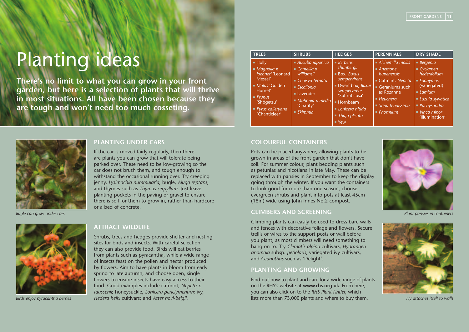# Planting ideas

**There's no limit to what you can grow in your front garden, but here is a selection of plants that will thrive in most situations. All have been chosen because they are tough and won't need too much cosseting.**

*Bugle can grow under cars*



*Birds enjoy pyracantha berries* 

#### **PLANTING UNDER CARS**

If the car is moved fairly regularly, then there are plants you can grow that will tolerate being parked over. These need to be low-growing so the car does not brush them, and tough enough to withstand the occasional running over. Try creeping jenny, *Lysimachia nummularia*; bugle, *Ajuga reptans*; and thymes such as *Thymus serpyllum*. Just leave planting pockets in the paving or gravel to ensure there is soil for them to grow in, rather than hardcore or a bed of concrete.

### **ATTRACT WILDLIFE**

Shrubs, trees and hedges provide shelter and nesting sites for birds and insects. With careful selection they can also provide food. Birds will eat berries from plants such as pyracantha, while a wide range of insects feast on the pollen and nectar produced by flowers. Aim to have plants in bloom from early spring to late autumn, and choose open, single flowers to ensure insects have easy access to their food. Good examples include catmint, *Nepeta* x *faassenii*; honeysuckle, *Lonicera periclymenum*; ivy, *Hedera helix* cultivars; and *Aster novi-belgii*.

| <b>TREES</b>                                                                                                                                                                    | <b>SHRUBS</b>                                                                                                                                                                                | <b>HEDGES</b>                                                                                                                                                                                            | <b>PERENNIALS</b>                                                                                                                                                                         | <b>DRY SHADE</b>                                                                                                                                                                                            |
|---------------------------------------------------------------------------------------------------------------------------------------------------------------------------------|----------------------------------------------------------------------------------------------------------------------------------------------------------------------------------------------|----------------------------------------------------------------------------------------------------------------------------------------------------------------------------------------------------------|-------------------------------------------------------------------------------------------------------------------------------------------------------------------------------------------|-------------------------------------------------------------------------------------------------------------------------------------------------------------------------------------------------------------|
| $\blacksquare$ Holly<br>$M$ agnolia x<br>loebneri 'Leonard<br>Messel'<br>Malus 'Golden<br>Hornet'<br>$\blacksquare$ Prunus<br>'Shôgetsu'<br>■ Pyrus calleryana<br>'Chanticleer' | ■ Aucuba japonica<br>$\blacksquare$ Camellia x<br>williamsii<br>■ Choisya ternata<br>$\blacksquare$ Escallonia<br><b>ELavender</b><br>Mahonia x media<br>'Charity'<br>$\blacksquare$ Skimmia | Berberis<br>thunbergii<br><b>Box, Buxus</b><br>sempervirens<br>Dwarf box, Buxus<br>sempervirens<br>'Suffruticosa'<br>■ Hornbeam<br>Lonicera nitida<br>$\blacksquare$ Thuja plicata<br>$\blacksquare$ Yew | $\blacksquare$ Alchemilla mollis<br>$A$ nemone<br>hupehensis<br>Catmint, Nepeta<br>Geraniums such<br>as Rozanne<br>Heuchera<br>$\blacksquare$ Stipa tenuissima<br>$\blacksquare$ Phormium | Bergenia<br>$\blacksquare$ Cyclamen<br>hederifolium<br>$\blacksquare$ Euonymus<br>(variegated)<br>Laminum<br>Luzula sylvatica<br>$\blacksquare$ Pachysandra<br>$\blacksquare$ Vinca minor<br>'Illumination' |

#### **COLOURFUL CONTAINERS**

Pots can be placed anywhere, allowing plants to be grown in areas of the front garden that don't have soil. For summer colour, plant bedding plants such as petunias and nicotiana in late May. These can be replaced with pansies in September to keep the display going through the winter. If you want the containers to look good for more than one season, choose evergreen shrubs and plant into pots at least 45cm (18in) wide using John Innes No.2 compost.

#### **CLIMBERS AND SCREENING**

Climbing plants can easily be used to dress bare walls and fences with decorative foliage and flowers. Secure trellis or wires to the support posts or wall before you plant, as most climbers will need something to hang on to. Try *Clematis alpina* cultivars, *Hydrangea anomala* subsp. *petiolaris*, variegated ivy cultivars, and *Ceanothus* such as 'Delight'.

#### **PLANTING AND GROWING**

Find out how to plant and care for a wide range of plants on the RHS's website at **www.rhs.org.uk**. From here, you can also click on to the *RHS Plant Finder*, which lists more than 73,000 plants and where to buy them.



*Plant pansies in containers*



*Ivy attaches itself to walls*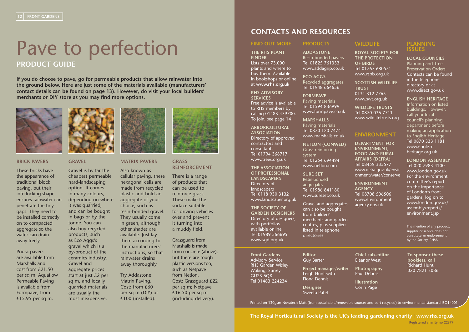## Pave to perfection **PRODUCT GUIDE**

**If you do choose to pave, go for permeable products that allow rainwater into the ground below. Here are just some of the materials available (manufacturers' contact details can be found on page 13). However, do visit your local builders' merchants or DIY store as you may find more options.**



#### **BRICK PAVERS**

These bricks have the appearance of traditional block paving, but their interlocking shape ensures rainwater can penetrate the tiny gaps. They need to be installed correctly on to compacted aggregate so the water can drain away freely.

Priora pavers are available from Marshalls and cost from £21.50 per sq m. Aquaflow Permeable Paving is available from Formpave, from £15.95 per sq m.



#### **GRAVEL**

Gravel is by far the cheapest permeable hard-landscaping option. It comes in many colours, depending on where it was quarried, and can be bought in bags or by the tonne. You can also buy recycled products, such as Eco Aggs's gravel which is a by-product of the ceramics industry. Gravel and aggregate prices

start at just £2 per sq m, and locally quarried materials are usually the most inexpensive.

Also known as cellular paving, these hexagonal cells are made from recycled plastic and hold an aggregate of your choice, such as resin-bonded gravel. They usually come in green, although other shades are available. Just lay them according to the manufacturers' instructions, so that rainwater drains away thoroughly.

**MATRIX PAVERS**

#### Try Addastone Matrix Paving. Cost: from £60 per sq m (DIY) or £100 (installed).



#### **GRASS REINFORCEMENT**

There is a range of products that can be used to reinforce grass. These make the surface suitable for driving vehicles over and prevent it turning into a muddy field.

Grassquard from Marshalls is made from concrete (above), but there are tough plastic versions too, such as Netpave from Netlon. Cost: Grassquard £22 per sq m; Netpave  $£16.50$  per sq m (including delivery).

### **CONTACTS AND RESOURCES**

#### **FIND OUT MORE PRODUCTS**

**THE RHS PLANT FINDER**  Lists over 73,000 plants and where to buy them. Available in bookshops or online at **www.rhs.org.uk**

#### **RHS ADVISORY SERVICES** Free advice is available

to RHS members by calling 01483 479700. To join, see page 14

**ARBORICULTURAL ASSOCIATION** Directory of approved contractors and consultants Tel 01794 368717 www.trees.org.uk

**THE ASSOCIATION OF PROFESSIONAL LANDSCAPERS** Directory of landscapers Tel 0118 930 3132 www.landscaper.org.uk

**THE SOCIETY OF GARDEN DESIGNERS** Directory of designers, with portfolios available online Tel 01989 566695 www.sgd.org.uk

**Front Gardens** Advisory Service RHS Garden Wisley Woking, Surrey GU23 6QB Tel 01483 224234

#### Tel 01825 761333 www.addagrip.co.uk **ECO AGGS**

**ADDASTONE** Resin-bonded pavers

Recycled aggregates Tel 01948 664656

**FORMPAVE** Paving materials Tel 01594 836999 www.formpave.co.uk

**MARSHALLS** Paving materials Tel 0870 120 7474 www.marshalls.co.uk

**NETLON (CONWED)** Grass reinforcing system Tel 01254 694494 www.netlon.com

**SURE SET** Resin-bonded aggregates Tel 01986 841180 www.sureset.co.uk

Gravel and aggregates can also be bought from builders' merchants and garden centres, plus suppliers listed in telephone directories

**Editor** Guy Barter

**Project manager/writer**  Leigh Hunt with Fiona Dennis

**Designer** Sweeta Patel

## **WILDLIFE**

**ROYAL SOCIETY FOR THE PROTECTION OF BIRDS** Tel 01767 680551 www.rspb.org.uk

**SCOTTISH WILDLIFE TRUST** 0131 312 7765 www.swt.org.uk

**WILDLIFE TRUSTS** Tel 0870 036 7711 www.wildlifetrusts.org

### **ENVIRONMENT**

**DEPARTMENT FOR ENVIRONMENT, FOOD AND RURAL AFFAIRS (DEFRA)** Tel 08459 335577 www.defra.gov.uk/envir onment/water/conserve

**ENVIRONMENT AGENCY**  Tel 08708 506506 www.environmentagency.gov.uk

**Chief sub-editor** Eleanor West

**Photography** Paul Debois **Illustration**

Corin Page

#### **PLANNING ISSUES**

**LOCAL COUNCILS**  Planning and Tree Preservation Orders. Contacts can be found

in the telephone directory or at www.direct.gov.uk

**ENGLISH HERITAGE**

Information on listed buildings. However, call your local council's planning department before making an application to English Heritage Tel 0870 333 1181 www.englishheritage.org.uk

**LONDON ASSEMBLY**  Tel 020 7983 4100 www.london.gov.uk For the environment committee's report on the importance of London's front gardens, log on to www.london.gov.uk/ assembly/reports/ environment.jsp

The mention of any product, supplier or service does not constitute an endorsement by the Society. RHS©

**To sponsor these booklets, call Richard Hunt** 020 7821 3086

Printed on 130gsm Novatech Matt (from sustainable/renewable sources and part recycled) to environmental standard ISO14001